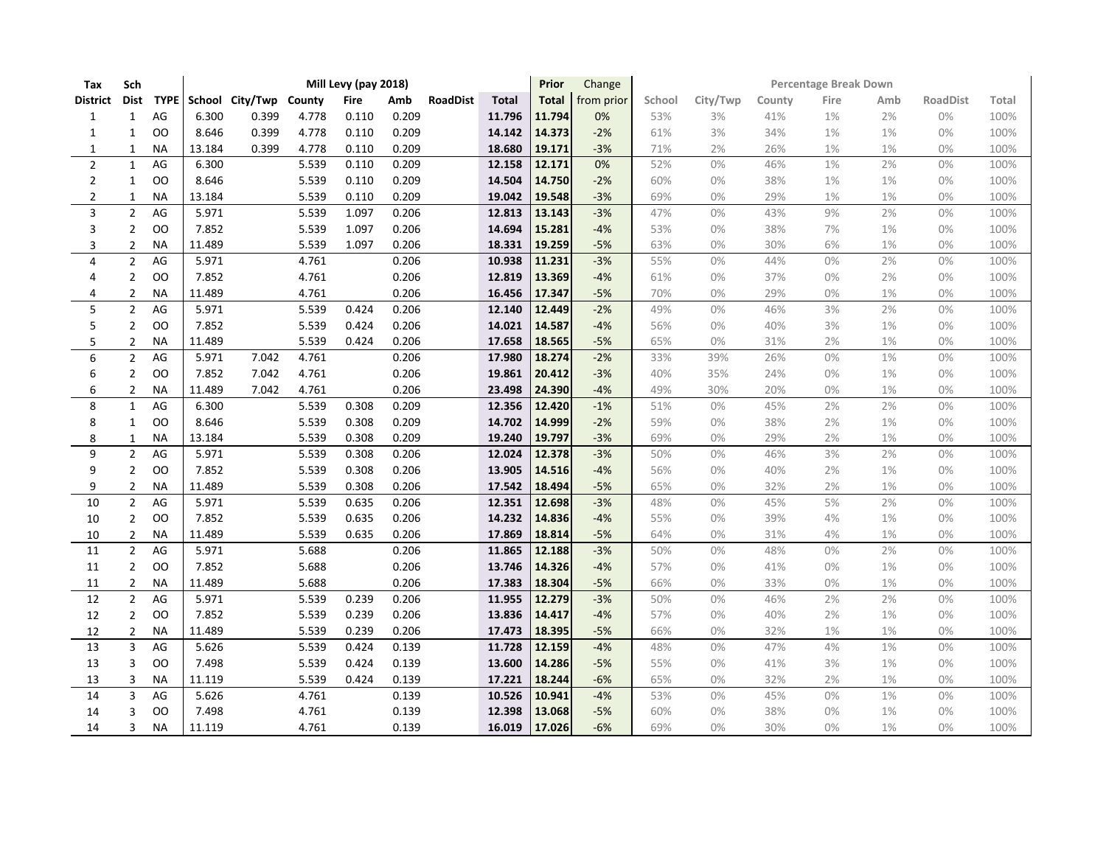| Tax              | Sch            |               |        |                        |       | Mill Levy (pay 2018) |       |                 |              | Prior        | Change     | Percentage Break Down |          |        |       |       |                 |       |  |
|------------------|----------------|---------------|--------|------------------------|-------|----------------------|-------|-----------------|--------------|--------------|------------|-----------------------|----------|--------|-------|-------|-----------------|-------|--|
| <b>District</b>  | Dist           | <b>TYPE</b>   |        | School City/Twp County |       | <b>Fire</b>          | Amb   | <b>RoadDist</b> | <b>Total</b> | <b>Total</b> | from prior | School                | City/Twp | County | Fire  | Amb   | <b>RoadDist</b> | Total |  |
| $\mathbf{1}$     | $\mathbf{1}$   | $\mathsf{AG}$ | 6.300  | 0.399                  | 4.778 | 0.110                | 0.209 |                 | 11.796       | 11.794       | 0%         | 53%                   | 3%       | 41%    | 1%    | 2%    | 0%              | 100%  |  |
| $\mathbf{1}$     | 1              | OO            | 8.646  | 0.399                  | 4.778 | 0.110                | 0.209 |                 | 14.142       | 14.373       | $-2%$      | 61%                   | 3%       | 34%    | $1\%$ | 1%    | 0%              | 100%  |  |
| $\mathbf{1}$     | $\mathbf{1}$   | <b>NA</b>     | 13.184 | 0.399                  | 4.778 | 0.110                | 0.209 |                 | 18.680       | 19.171       | $-3%$      | 71%                   | 2%       | 26%    | $1\%$ | $1\%$ | 0%              | 100%  |  |
| $\mathbf{2}$     | $\mathbf{1}$   | AG            | 6.300  |                        | 5.539 | 0.110                | 0.209 |                 | 12.158       | 12.171       | 0%         | 52%                   | 0%       | 46%    | 1%    | 2%    | 0%              | 100%  |  |
| $\mathbf{2}$     | 1              | OO            | 8.646  |                        | 5.539 | 0.110                | 0.209 |                 | 14.504       | 14.750       | $-2%$      | 60%                   | 0%       | 38%    | $1\%$ | $1\%$ | 0%              | 100%  |  |
| 2                | $\mathbf{1}$   | <b>NA</b>     | 13.184 |                        | 5.539 | 0.110                | 0.209 |                 | 19.042       | 19.548       | $-3%$      | 69%                   | 0%       | 29%    | 1%    | $1\%$ | 0%              | 100%  |  |
| 3                | $\overline{2}$ | AG            | 5.971  |                        | 5.539 | 1.097                | 0.206 |                 | 12.813       | 13.143       | $-3%$      | 47%                   | 0%       | 43%    | 9%    | 2%    | 0%              | 100%  |  |
| 3                | $\overline{2}$ | OO            | 7.852  |                        | 5.539 | 1.097                | 0.206 |                 | 14.694       | 15.281       | $-4%$      | 53%                   | 0%       | 38%    | $7%$  | 1%    | 0%              | 100%  |  |
| 3                | $\overline{2}$ | <b>NA</b>     | 11.489 |                        | 5.539 | 1.097                | 0.206 |                 | 18.331       | 19.259       | $-5%$      | 63%                   | 0%       | 30%    | 6%    | $1\%$ | 0%              | 100%  |  |
| 4                | $\overline{2}$ | AG            | 5.971  |                        | 4.761 |                      | 0.206 |                 | 10.938       | 11.231       | $-3%$      | 55%                   | 0%       | 44%    | 0%    | 2%    | 0%              | 100%  |  |
| 4                | $\overline{2}$ | OO            | 7.852  |                        | 4.761 |                      | 0.206 |                 | 12.819       | 13.369       | $-4%$      | 61%                   | 0%       | 37%    | 0%    | 2%    | 0%              | 100%  |  |
| 4                | $\overline{2}$ | <b>NA</b>     | 11.489 |                        | 4.761 |                      | 0.206 |                 | 16.456       | 17.347       | $-5%$      | 70%                   | 0%       | 29%    | $0\%$ | $1\%$ | 0%              | 100%  |  |
| 5                | $\overline{2}$ | AG            | 5.971  |                        | 5.539 | 0.424                | 0.206 |                 | 12.140       | 12.449       | $-2%$      | 49%                   | 0%       | 46%    | 3%    | 2%    | 0%              | 100%  |  |
| 5                | 2              | OO            | 7.852  |                        | 5.539 | 0.424                | 0.206 |                 | 14.021       | 14.587       | $-4%$      | 56%                   | 0%       | 40%    | 3%    | $1\%$ | 0%              | 100%  |  |
| 5                | 2              | <b>NA</b>     | 11.489 |                        | 5.539 | 0.424                | 0.206 |                 | 17.658       | 18.565       | $-5%$      | 65%                   | 0%       | 31%    | 2%    | $1\%$ | 0%              | 100%  |  |
| $\boldsymbol{6}$ | $\overline{2}$ | $\mathsf{AG}$ | 5.971  | 7.042                  | 4.761 |                      | 0.206 |                 | 17.980       | 18.274       | $-2%$      | 33%                   | 39%      | 26%    | 0%    | $1\%$ | 0%              | 100%  |  |
| 6                | 2              | OO            | 7.852  | 7.042                  | 4.761 |                      | 0.206 |                 | 19.861       | 20.412       | $-3%$      | 40%                   | 35%      | 24%    | 0%    | $1\%$ | 0%              | 100%  |  |
| 6                | 2              | <b>NA</b>     | 11.489 | 7.042                  | 4.761 |                      | 0.206 |                 | 23.498       | 24.390       | $-4%$      | 49%                   | 30%      | 20%    | $0\%$ | $1\%$ | 0%              | 100%  |  |
| 8                | $\mathbf{1}$   | AG            | 6.300  |                        | 5.539 | 0.308                | 0.209 |                 | 12.356       | 12.420       | $-1%$      | 51%                   | 0%       | 45%    | 2%    | 2%    | 0%              | 100%  |  |
| 8                | $\mathbf{1}$   | OO            | 8.646  |                        | 5.539 | 0.308                | 0.209 |                 | 14.702       | 14.999       | $-2%$      | 59%                   | 0%       | 38%    | 2%    | 1%    | 0%              | 100%  |  |
| 8                | $\mathbf{1}$   | <b>NA</b>     | 13.184 |                        | 5.539 | 0.308                | 0.209 |                 | 19.240       | 19.797       | $-3%$      | 69%                   | 0%       | 29%    | $2\%$ | $1\%$ | 0%              | 100%  |  |
| 9                | $\overline{2}$ | AG            | 5.971  |                        | 5.539 | 0.308                | 0.206 |                 | 12.024       | 12.378       | $-3%$      | 50%                   | 0%       | 46%    | 3%    | 2%    | 0%              | 100%  |  |
| 9                | 2              | OO            | 7.852  |                        | 5.539 | 0.308                | 0.206 |                 | 13.905       | 14.516       | $-4%$      | 56%                   | 0%       | 40%    | 2%    | $1\%$ | 0%              | 100%  |  |
| 9                | $\overline{2}$ | <b>NA</b>     | 11.489 |                        | 5.539 | 0.308                | 0.206 |                 | 17.542       | 18.494       | $-5%$      | 65%                   | 0%       | 32%    | 2%    | $1\%$ | 0%              | 100%  |  |
| 10               | $\overline{2}$ | $\mathsf{AG}$ | 5.971  |                        | 5.539 | 0.635                | 0.206 |                 | 12.351       | 12.698       | $-3%$      | 48%                   | 0%       | 45%    | 5%    | 2%    | 0%              | 100%  |  |
| 10               | $\overline{2}$ | <b>OO</b>     | 7.852  |                        | 5.539 | 0.635                | 0.206 |                 | 14.232       | 14.836       | $-4%$      | 55%                   | 0%       | 39%    | 4%    | 1%    | 0%              | 100%  |  |
| 10               | $\overline{2}$ | <b>NA</b>     | 11.489 |                        | 5.539 | 0.635                | 0.206 |                 | 17.869       | 18.814       | $-5%$      | 64%                   | 0%       | 31%    | 4%    | 1%    | 0%              | 100%  |  |
| 11               | $\overline{2}$ | AG            | 5.971  |                        | 5.688 |                      | 0.206 |                 | 11.865       | 12.188       | $-3%$      | 50%                   | 0%       | 48%    | 0%    | 2%    | 0%              | 100%  |  |
| 11               | 2              | <b>OO</b>     | 7.852  |                        | 5.688 |                      | 0.206 |                 | 13.746       | 14.326       | $-4%$      | 57%                   | 0%       | 41%    | 0%    | $1\%$ | 0%              | 100%  |  |
| 11               | $\overline{2}$ | <b>NA</b>     | 11.489 |                        | 5.688 |                      | 0.206 |                 | 17.383       | 18.304       | $-5%$      | 66%                   | 0%       | 33%    | 0%    | $1\%$ | 0%              | 100%  |  |
| 12               | $\overline{2}$ | $\mathsf{AG}$ | 5.971  |                        | 5.539 | 0.239                | 0.206 |                 | 11.955       | 12.279       | $-3%$      | 50%                   | 0%       | 46%    | 2%    | 2%    | 0%              | 100%  |  |
| 12               | $\overline{2}$ | OO            | 7.852  |                        | 5.539 | 0.239                | 0.206 |                 | 13.836       | 14.417       | $-4%$      | 57%                   | 0%       | 40%    | 2%    | 1%    | 0%              | 100%  |  |
| 12               | $\overline{2}$ | <b>NA</b>     | 11.489 |                        | 5.539 | 0.239                | 0.206 |                 | 17.473       | 18.395       | $-5%$      | 66%                   | 0%       | 32%    | $1\%$ | $1\%$ | 0%              | 100%  |  |
| 13               | 3              | AG            | 5.626  |                        | 5.539 | 0.424                | 0.139 |                 | 11.728       | 12.159       | $-4%$      | 48%                   | 0%       | 47%    | 4%    | 1%    | 0%              | 100%  |  |
| 13               | 3              | OO            | 7.498  |                        | 5.539 | 0.424                | 0.139 |                 | 13.600       | 14.286       | $-5%$      | 55%                   | 0%       | 41%    | 3%    | $1\%$ | 0%              | 100%  |  |
| 13               | 3              | <b>NA</b>     | 11.119 |                        | 5.539 | 0.424                | 0.139 |                 | 17.221       | 18.244       | $-6%$      | 65%                   | 0%       | 32%    | 2%    | $1\%$ | 0%              | 100%  |  |
| 14               | 3              | AG            | 5.626  |                        | 4.761 |                      | 0.139 |                 | 10.526       | 10.941       | $-4%$      | 53%                   | 0%       | 45%    | 0%    | 1%    | 0%              | 100%  |  |
| 14               | 3              | OO            | 7.498  |                        | 4.761 |                      | 0.139 |                 | 12.398       | 13.068       | $-5%$      | 60%                   | 0%       | 38%    | $0\%$ | $1\%$ | 0%              | 100%  |  |
| 14               | 3              | <b>NA</b>     | 11.119 |                        | 4.761 |                      | 0.139 |                 | 16.019       | 17.026       | $-6%$      | 69%                   | 0%       | 30%    | 0%    | 1%    | 0%              | 100%  |  |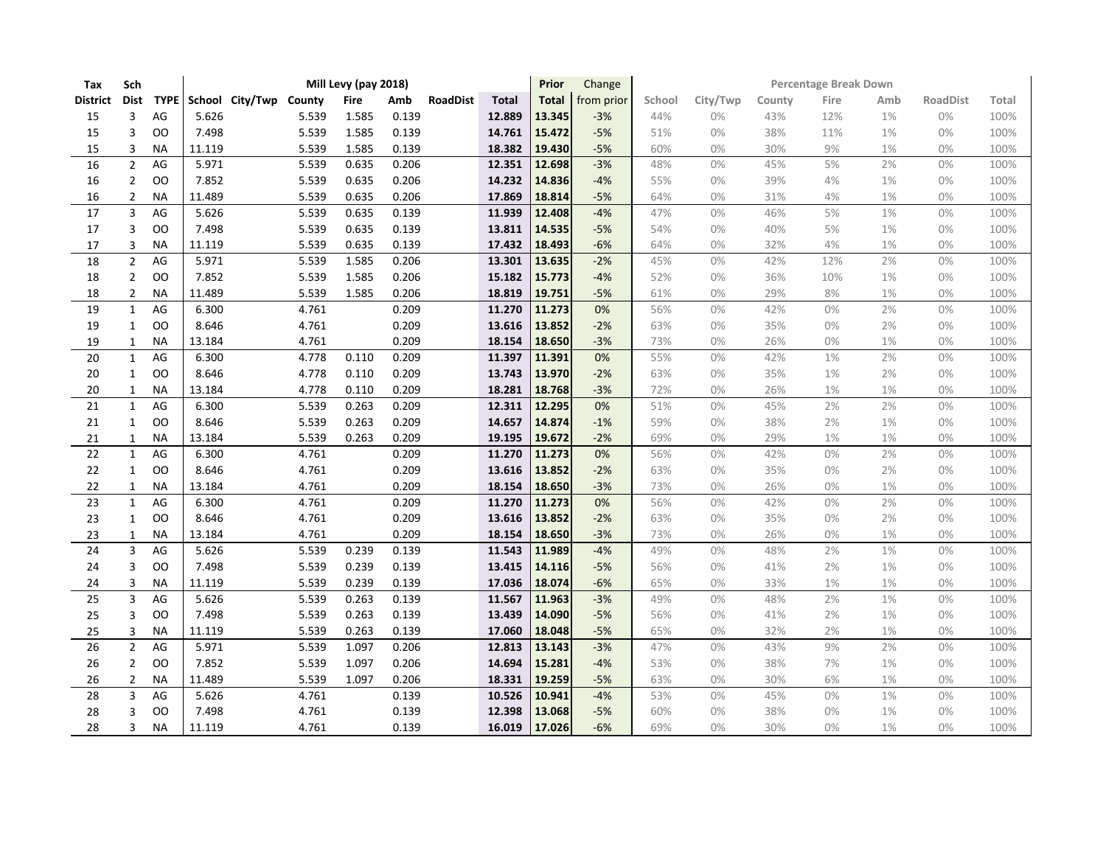| Tax             | Sch                     |             |                        |       | Mill Levy (pay 2018) |       |                 |              | Prior  | Change     | <b>Percentage Break Down</b> |          |        |       |       |                 |       |  |
|-----------------|-------------------------|-------------|------------------------|-------|----------------------|-------|-----------------|--------------|--------|------------|------------------------------|----------|--------|-------|-------|-----------------|-------|--|
| <b>District</b> | <b>Dist</b>             | <b>TYPE</b> | School City/Twp County |       | <b>Fire</b>          | Amb   | <b>RoadDist</b> | <b>Total</b> | Total  | from prior | School                       | City/Twp | County | Fire  | Amb   | <b>RoadDist</b> | Total |  |
| 15              | 3                       | AG          | 5.626                  | 5.539 | 1.585                | 0.139 |                 | 12.889       | 13.345 | $-3%$      | 44%                          | 0%       | 43%    | 12%   | 1%    | 0%              | 100%  |  |
| 15              | 3                       | OO          | 7.498                  | 5.539 | 1.585                | 0.139 |                 | 14.761       | 15.472 | $-5%$      | 51%                          | 0%       | 38%    | 11%   | 1%    | 0%              | 100%  |  |
| 15              | 3                       | <b>NA</b>   | 11.119                 | 5.539 | 1.585                | 0.139 |                 | 18.382       | 19.430 | $-5%$      | 60%                          | 0%       | 30%    | 9%    | 1%    | 0%              | 100%  |  |
| 16              | $\overline{2}$          | AG          | 5.971                  | 5.539 | 0.635                | 0.206 |                 | 12.351       | 12.698 | $-3%$      | 48%                          | 0%       | 45%    | 5%    | 2%    | 0%              | 100%  |  |
| 16              | $\overline{2}$          | OO          | 7.852                  | 5.539 | 0.635                | 0.206 |                 | 14.232       | 14.836 | $-4%$      | 55%                          | 0%       | 39%    | 4%    | 1%    | 0%              | 100%  |  |
| 16              | 2                       | ΝA          | 11.489                 | 5.539 | 0.635                | 0.206 |                 | 17.869       | 18.814 | $-5%$      | 64%                          | 0%       | 31%    | 4%    | 1%    | 0%              | 100%  |  |
| 17              | $\overline{3}$          | AG          | 5.626                  | 5.539 | 0.635                | 0.139 |                 | 11.939       | 12.408 | $-4%$      | 47%                          | 0%       | 46%    | 5%    | 1%    | 0%              | 100%  |  |
| 17              | 3                       | <b>OO</b>   | 7.498                  | 5.539 | 0.635                | 0.139 |                 | 13.811       | 14.535 | $-5%$      | 54%                          | 0%       | 40%    | 5%    | 1%    | 0%              | 100%  |  |
| 17              | 3                       | <b>NA</b>   | 11.119                 | 5.539 | 0.635                | 0.139 |                 | 17.432       | 18.493 | $-6%$      | 64%                          | 0%       | 32%    | $4%$  | 1%    | 0%              | 100%  |  |
| 18              | $\overline{2}$          | AG          | 5.971                  | 5.539 | 1.585                | 0.206 |                 | 13.301       | 13.635 | $-2%$      | 45%                          | 0%       | 42%    | 12%   | 2%    | 0%              | 100%  |  |
| 18              | $\overline{2}$          | OO          | 7.852                  | 5.539 | 1.585                | 0.206 |                 | 15.182       | 15.773 | $-4%$      | 52%                          | $0\%$    | 36%    | 10%   | 1%    | 0%              | 100%  |  |
| 18              | $\overline{2}$          | <b>NA</b>   | 11.489                 | 5.539 | 1.585                | 0.206 |                 | 18.819       | 19.751 | $-5%$      | 61%                          | 0%       | 29%    | 8%    | $1\%$ | 0%              | 100%  |  |
| 19              | $\mathbf{1}$            | AG          | 6.300                  | 4.761 |                      | 0.209 |                 | 11.270       | 11.273 | 0%         | 56%                          | 0%       | 42%    | 0%    | 2%    | 0%              | 100%  |  |
| 19              | 1                       | OO          | 8.646                  | 4.761 |                      | 0.209 |                 | 13.616       | 13.852 | $-2%$      | 63%                          | 0%       | 35%    | $0\%$ | 2%    | 0%              | 100%  |  |
| 19              | $\mathbf{1}$            | <b>NA</b>   | 13.184                 | 4.761 |                      | 0.209 |                 | 18.154       | 18.650 | $-3%$      | 73%                          | 0%       | 26%    | 0%    | $1\%$ | 0%              | 100%  |  |
| 20              | $\mathbf{1}$            | AG          | 6.300                  | 4.778 | 0.110                | 0.209 |                 | 11.397       | 11.391 | 0%         | 55%                          | $0\%$    | 42%    | 1%    | 2%    | 0%              | 100%  |  |
| 20              | 1                       | OO          | 8.646                  | 4.778 | 0.110                | 0.209 |                 | 13.743       | 13.970 | $-2%$      | 63%                          | $0\%$    | 35%    | 1%    | 2%    | 0%              | 100%  |  |
| 20              | 1                       | <b>NA</b>   | 13.184                 | 4.778 | 0.110                | 0.209 |                 | 18.281       | 18.768 | $-3%$      | 72%                          | 0%       | 26%    | 1%    | 1%    | 0%              | 100%  |  |
| 21              | $\mathbf{1}$            | AG          | 6.300                  | 5.539 | 0.263                | 0.209 |                 | 12.311       | 12.295 | 0%         | 51%                          | 0%       | 45%    | 2%    | 2%    | 0%              | 100%  |  |
| 21              | 1                       | OO          | 8.646                  | 5.539 | 0.263                | 0.209 |                 | 14.657       | 14.874 | $-1%$      | 59%                          | 0%       | 38%    | 2%    | 1%    | 0%              | 100%  |  |
| 21              | $\mathbf{1}$            | <b>NA</b>   | 13.184                 | 5.539 | 0.263                | 0.209 |                 | 19.195       | 19.672 | $-2%$      | 69%                          | 0%       | 29%    | 1%    | $1\%$ | $0\%$           | 100%  |  |
| 22              | $\mathbf{1}$            | AG          | 6.300                  | 4.761 |                      | 0.209 |                 | 11.270       | 11.273 | 0%         | 56%                          | $0\%$    | 42%    | 0%    | 2%    | 0%              | 100%  |  |
| 22              | $\mathbf{1}$            | OO          | 8.646                  | 4.761 |                      | 0.209 |                 | 13.616       | 13.852 | $-2%$      | 63%                          | 0%       | 35%    | 0%    | 2%    | 0%              | 100%  |  |
| 22              | 1                       | <b>NA</b>   | 13.184                 | 4.761 |                      | 0.209 |                 | 18.154       | 18.650 | $-3%$      | 73%                          | 0%       | 26%    | 0%    | 1%    | 0%              | 100%  |  |
| 23              | $\mathbf{1}$            | AG          | 6.300                  | 4.761 |                      | 0.209 |                 | 11.270       | 11.273 | 0%         | 56%                          | 0%       | 42%    | 0%    | 2%    | 0%              | 100%  |  |
| 23              | 1                       | oo          | 8.646                  | 4.761 |                      | 0.209 |                 | 13.616       | 13.852 | $-2%$      | 63%                          | 0%       | 35%    | 0%    | 2%    | 0%              | 100%  |  |
| 23              | $\mathbf{1}$            | <b>NA</b>   | 13.184                 | 4.761 |                      | 0.209 |                 | 18.154       | 18.650 | $-3%$      | 73%                          | $0\%$    | 26%    | 0%    | $1\%$ | $0\%$           | 100%  |  |
| 24              | $\overline{\mathbf{3}}$ | AG          | 5.626                  | 5.539 | 0.239                | 0.139 |                 | 11.543       | 11.989 | $-4%$      | 49%                          | 0%       | 48%    | 2%    | $1\%$ | 0%              | 100%  |  |
| 24              | 3                       | OO          | 7.498                  | 5.539 | 0.239                | 0.139 |                 | 13.415       | 14.116 | $-5%$      | 56%                          | 0%       | 41%    | 2%    | 1%    | 0%              | 100%  |  |
| 24              | 3                       | <b>NA</b>   | 11.119                 | 5.539 | 0.239                | 0.139 |                 | 17.036       | 18.074 | $-6%$      | 65%                          | 0%       | 33%    | 1%    | 1%    | 0%              | 100%  |  |
| 25              | $\overline{3}$          | AG          | 5.626                  | 5.539 | 0.263                | 0.139 |                 | 11.567       | 11.963 | $-3%$      | 49%                          | 0%       | 48%    | 2%    | 1%    | 0%              | 100%  |  |
| 25              | 3                       | oo          | 7.498                  | 5.539 | 0.263                | 0.139 |                 | 13.439       | 14.090 | $-5%$      | 56%                          | 0%       | 41%    | 2%    | 1%    | 0%              | 100%  |  |
| 25              | 3                       | <b>NA</b>   | 11.119                 | 5.539 | 0.263                | 0.139 |                 | 17.060       | 18.048 | $-5%$      | 65%                          | $0\%$    | 32%    | 2%    | 1%    | $0\%$           | 100%  |  |
| 26              | $\mathbf 2$             | AG          | 5.971                  | 5.539 | 1.097                | 0.206 |                 | 12.813       | 13.143 | $-3%$      | 47%                          | 0%       | 43%    | 9%    | 2%    | 0%              | 100%  |  |
| 26              | $\overline{2}$          | OO          | 7.852                  | 5.539 | 1.097                | 0.206 |                 | 14.694       | 15.281 | $-4%$      | 53%                          | 0%       | 38%    | 7%    | 1%    | 0%              | 100%  |  |
| 26              | 2                       | <b>NA</b>   | 11.489                 | 5.539 | 1.097                | 0.206 |                 | 18.331       | 19.259 | $-5%$      | 63%                          | 0%       | 30%    | 6%    | 1%    | 0%              | 100%  |  |
| 28              | 3                       | AG          | 5.626                  | 4.761 |                      | 0.139 |                 | 10.526       | 10.941 | $-4%$      | 53%                          | 0%       | 45%    | 0%    | 1%    | 0%              | 100%  |  |
| 28              | 3                       | OO          | 7.498                  | 4.761 |                      | 0.139 |                 | 12.398       | 13.068 | $-5%$      | 60%                          | 0%       | 38%    | $0\%$ | 1%    | 0%              | 100%  |  |
| 28              | 3                       | <b>NA</b>   | 11.119                 | 4.761 |                      | 0.139 |                 | 16.019       | 17.026 | $-6%$      | 69%                          | 0%       | 30%    | 0%    | 1%    | 0%              | 100%  |  |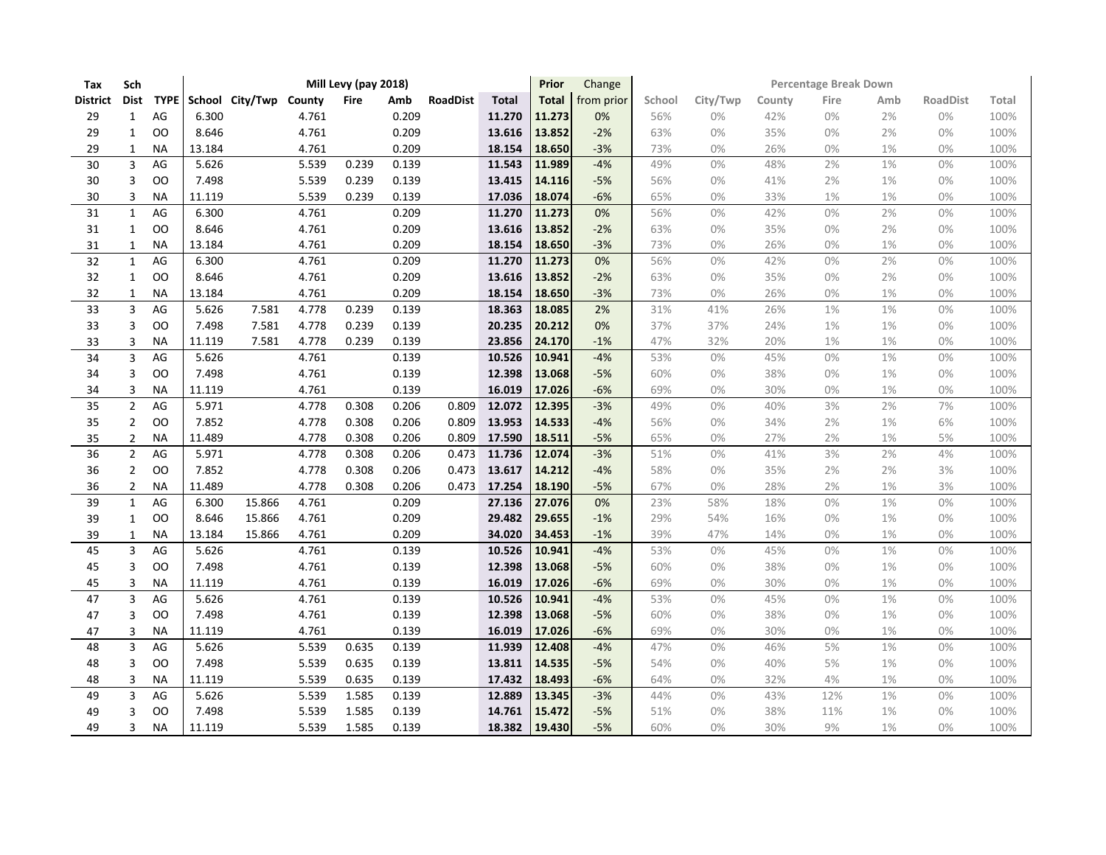| Tax             | Sch                     |               |        |                        |       | Mill Levy (pay 2018) |       |                 |               | Prior        | Change     | <b>Percentage Break Down</b> |          |        |       |       |                 |       |  |
|-----------------|-------------------------|---------------|--------|------------------------|-------|----------------------|-------|-----------------|---------------|--------------|------------|------------------------------|----------|--------|-------|-------|-----------------|-------|--|
| <b>District</b> | <b>Dist</b>             | <b>TYPE</b>   |        | School City/Twp County |       | Fire                 | Amb   | <b>RoadDist</b> | <b>Total</b>  | <b>Total</b> | from prior | School                       | City/Twp | County | Fire  | Amb   | <b>RoadDist</b> | Total |  |
| 29              | $\mathbf{1}$            | $\mathsf{AG}$ | 6.300  |                        | 4.761 |                      | 0.209 |                 | 11.270        | 11.273       | 0%         | 56%                          | 0%       | 42%    | 0%    | 2%    | 0%              | 100%  |  |
| 29              | $\mathbf{1}$            | OO            | 8.646  |                        | 4.761 |                      | 0.209 |                 | 13.616        | 13.852       | $-2%$      | 63%                          | 0%       | 35%    | $0\%$ | 2%    | 0%              | 100%  |  |
| 29              | $\mathbf{1}$            | <b>NA</b>     | 13.184 |                        | 4.761 |                      | 0.209 |                 | 18.154        | 18.650       | $-3%$      | 73%                          | 0%       | 26%    | $0\%$ | 1%    | 0%              | 100%  |  |
| 30              | $\overline{3}$          | AG            | 5.626  |                        | 5.539 | 0.239                | 0.139 |                 | 11.543        | 11.989       | $-4%$      | 49%                          | 0%       | 48%    | 2%    | 1%    | 0%              | 100%  |  |
| 30              | 3                       | OO            | 7.498  |                        | 5.539 | 0.239                | 0.139 |                 | 13.415        | 14.116       | $-5%$      | 56%                          | 0%       | 41%    | 2%    | 1%    | 0%              | 100%  |  |
| 30              | 3                       | <b>NA</b>     | 11.119 |                        | 5.539 | 0.239                | 0.139 |                 | 17.036        | 18.074       | $-6%$      | 65%                          | 0%       | 33%    | 1%    | 1%    | 0%              | 100%  |  |
| 31              | $\mathbf{1}$            | AG            | 6.300  |                        | 4.761 |                      | 0.209 |                 | 11.270        | 11.273       | 0%         | 56%                          | 0%       | 42%    | $0\%$ | 2%    | 0%              | 100%  |  |
| 31              | 1                       | OO            | 8.646  |                        | 4.761 |                      | 0.209 |                 | 13.616        | 13.852       | $-2%$      | 63%                          | 0%       | 35%    | $0\%$ | 2%    | 0%              | 100%  |  |
| 31              | $\mathbf{1}$            | <b>NA</b>     | 13.184 |                        | 4.761 |                      | 0.209 |                 | 18.154        | 18.650       | $-3%$      | 73%                          | 0%       | 26%    | 0%    | $1\%$ | $0\%$           | 100%  |  |
| 32              | $\mathbf{1}$            | AG            | 6.300  |                        | 4.761 |                      | 0.209 |                 | 11.270        | 11.273       | 0%         | 56%                          | 0%       | 42%    | 0%    | 2%    | 0%              | 100%  |  |
| 32              | $\mathbf{1}$            | OO            | 8.646  |                        | 4.761 |                      | 0.209 |                 | 13.616        | 13.852       | $-2%$      | 63%                          | 0%       | 35%    | 0%    | 2%    | 0%              | 100%  |  |
| 32              | 1                       | <b>NA</b>     | 13.184 |                        | 4.761 |                      | 0.209 |                 | 18.154        | 18.650       | $-3%$      | 73%                          | 0%       | 26%    | 0%    | 1%    | 0%              | 100%  |  |
| 33              | $\overline{3}$          | AG            | 5.626  | 7.581                  | 4.778 | 0.239                | 0.139 |                 | 18.363        | 18.085       | 2%         | 31%                          | 41%      | 26%    | 1%    | 1%    | 0%              | 100%  |  |
| 33              | 3                       | OO            | 7.498  | 7.581                  | 4.778 | 0.239                | 0.139 |                 | 20.235        | 20.212       | 0%         | 37%                          | 37%      | 24%    | 1%    | 1%    | 0%              | 100%  |  |
| 33              | 3                       | <b>NA</b>     | 11.119 | 7.581                  | 4.778 | 0.239                | 0.139 |                 | 23.856        | 24.170       | $-1%$      | 47%                          | 32%      | 20%    | $1\%$ | $1\%$ | $0\%$           | 100%  |  |
| 34              | $\overline{\mathbf{3}}$ | AG            | 5.626  |                        | 4.761 |                      | 0.139 |                 | 10.526        | 10.941       | $-4%$      | 53%                          | 0%       | 45%    | 0%    | 1%    | 0%              | 100%  |  |
| 34              | 3                       | OO            | 7.498  |                        | 4.761 |                      | 0.139 |                 | 12.398        | 13.068       | $-5%$      | 60%                          | 0%       | 38%    | 0%    | 1%    | 0%              | 100%  |  |
| 34              | 3                       | <b>NA</b>     | 11.119 |                        | 4.761 |                      | 0.139 |                 | 16.019        | 17.026       | $-6%$      | 69%                          | 0%       | 30%    | 0%    | 1%    | 0%              | 100%  |  |
| 35              | $\overline{2}$          | AG            | 5.971  |                        | 4.778 | 0.308                | 0.206 | 0.809           | 12.072        | 12.395       | $-3%$      | 49%                          | 0%       | 40%    | 3%    | 2%    | 7%              | 100%  |  |
| 35              | $\overline{2}$          | OO            | 7.852  |                        | 4.778 | 0.308                | 0.206 | 0.809           | 13.953        | 14.533       | $-4%$      | 56%                          | 0%       | 34%    | 2%    | 1%    | 6%              | 100%  |  |
| 35              | $\overline{2}$          | <b>NA</b>     | 11.489 |                        | 4.778 | 0.308                | 0.206 | 0.809           | 17.590        | 18.511       | $-5%$      | 65%                          | 0%       | 27%    | 2%    | $1\%$ | 5%              | 100%  |  |
| 36              | $\overline{2}$          | AG            | 5.971  |                        | 4.778 | 0.308                | 0.206 | 0.473           | 11.736        | 12.074       | $-3%$      | 51%                          | 0%       | 41%    | 3%    | 2%    | 4%              | 100%  |  |
| 36              | $\overline{2}$          | OO            | 7.852  |                        | 4.778 | 0.308                | 0.206 | 0.473           | 13.617        | 14.212       | $-4%$      | 58%                          | 0%       | 35%    | 2%    | 2%    | 3%              | 100%  |  |
| 36              | $\overline{2}$          | <b>NA</b>     | 11.489 |                        | 4.778 | 0.308                | 0.206 | 0.473           | 17.254        | 18.190       | $-5%$      | 67%                          | 0%       | 28%    | 2%    | 1%    | 3%              | 100%  |  |
| 39              | $\mathbf{1}$            | AG            | 6.300  | 15.866                 | 4.761 |                      | 0.209 |                 | 27.136        | 27.076       | 0%         | 23%                          | 58%      | 18%    | $0\%$ | 1%    | 0%              | 100%  |  |
| 39              | 1                       | OO            | 8.646  | 15.866                 | 4.761 |                      | 0.209 |                 | 29.482        | 29.655       | $-1%$      | 29%                          | 54%      | 16%    | 0%    | 1%    | 0%              | 100%  |  |
| 39              | 1                       | <b>NA</b>     | 13.184 | 15.866                 | 4.761 |                      | 0.209 |                 | 34.020        | 34.453       | $-1%$      | 39%                          | 47%      | 14%    | 0%    | 1%    | 0%              | 100%  |  |
| 45              | 3                       | AG            | 5.626  |                        | 4.761 |                      | 0.139 |                 | 10.526        | 10.941       | $-4%$      | 53%                          | 0%       | 45%    | $0\%$ | $1\%$ | 0%              | 100%  |  |
| 45              | 3                       | OO            | 7.498  |                        | 4.761 |                      | 0.139 |                 | 12.398        | 13.068       | $-5%$      | 60%                          | 0%       | 38%    | 0%    | 1%    | 0%              | 100%  |  |
| 45              | 3                       | <b>NA</b>     | 11.119 |                        | 4.761 |                      | 0.139 |                 | 16.019        | 17.026       | $-6%$      | 69%                          | 0%       | 30%    | 0%    | 1%    | 0%              | 100%  |  |
| 47              | 3                       | AG            | 5.626  |                        | 4.761 |                      | 0.139 |                 | 10.526        | 10.941       | $-4%$      | 53%                          | 0%       | 45%    | 0%    | 1%    | 0%              | 100%  |  |
| 47              | 3                       | OO            | 7.498  |                        | 4.761 |                      | 0.139 |                 | 12.398        | 13.068       | $-5%$      | 60%                          | 0%       | 38%    | 0%    | 1%    | 0%              | 100%  |  |
| 47              | 3                       | <b>NA</b>     | 11.119 |                        | 4.761 |                      | 0.139 |                 | 16.019        | 17.026       | $-6%$      | 69%                          | 0%       | 30%    | 0%    | 1%    | 0%              | 100%  |  |
| 48              | 3                       | AG            | 5.626  |                        | 5.539 | 0.635                | 0.139 |                 | 11.939        | 12.408       | $-4%$      | 47%                          | 0%       | 46%    | 5%    | 1%    | 0%              | 100%  |  |
| 48              | 3                       | OO            | 7.498  |                        | 5.539 | 0.635                | 0.139 |                 | 13.811        | 14.535       | $-5%$      | 54%                          | 0%       | 40%    | 5%    | 1%    | 0%              | 100%  |  |
| 48              | 3                       | NA            | 11.119 |                        | 5.539 | 0.635                | 0.139 |                 | 17.432        | 18.493       | $-6%$      | 64%                          | 0%       | 32%    | $4%$  | 1%    | 0%              | 100%  |  |
| 49              | 3                       | AG            | 5.626  |                        | 5.539 | 1.585                | 0.139 |                 | 12.889        | 13.345       | $-3%$      | 44%                          | 0%       | 43%    | 12%   | 1%    | 0%              | 100%  |  |
| 49              | 3                       | OO            | 7.498  |                        | 5.539 | 1.585                | 0.139 |                 | 14.761        | 15.472       | $-5%$      | 51%                          | 0%       | 38%    | 11%   | 1%    | $0\%$           | 100%  |  |
| 49              | 3                       | <b>NA</b>     | 11.119 |                        | 5.539 | 1.585                | 0.139 |                 | 18.382 19.430 |              | $-5%$      | 60%                          | 0%       | 30%    | 9%    | 1%    | 0%              | 100%  |  |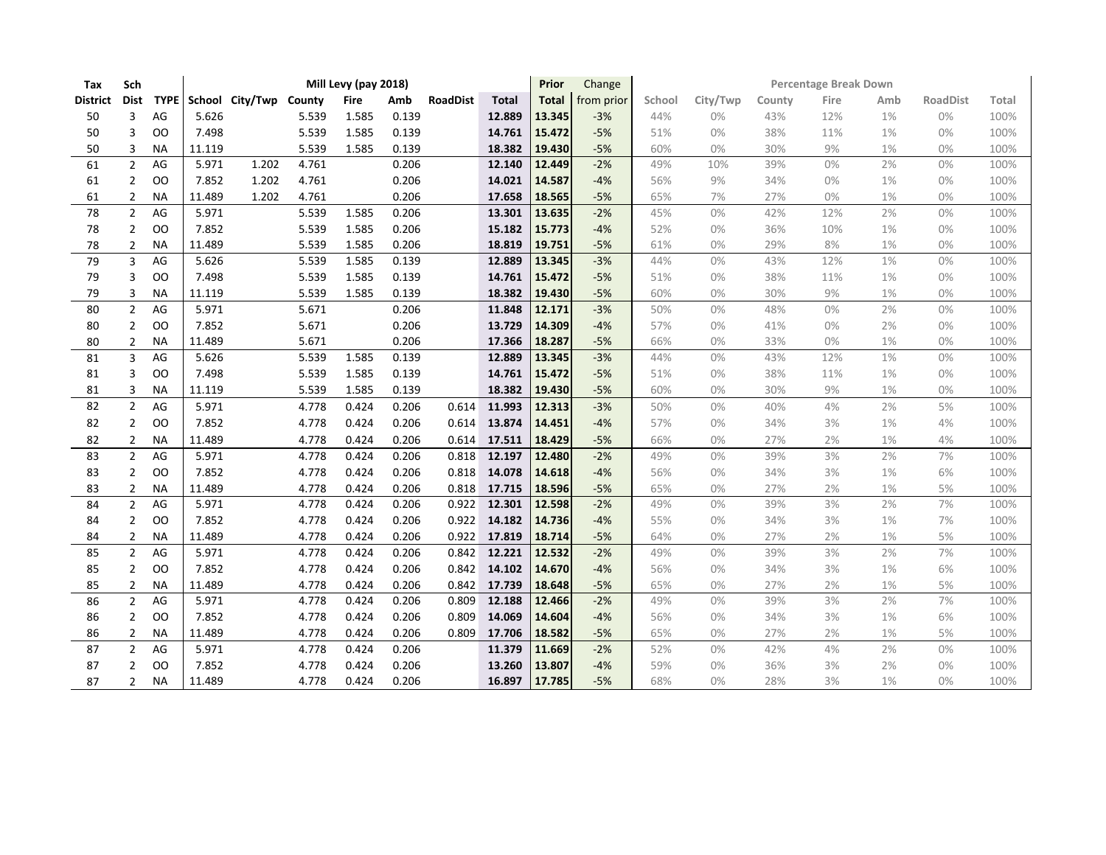| Tax             | Sch            |           |        |                             |       | Mill Levy (pay 2018) |       |                 |              | Prior        | Change     | <b>Percentage Break Down</b> |          |        |       |     |                 |       |  |  |
|-----------------|----------------|-----------|--------|-----------------------------|-------|----------------------|-------|-----------------|--------------|--------------|------------|------------------------------|----------|--------|-------|-----|-----------------|-------|--|--|
| <b>District</b> | <b>Dist</b>    |           |        | TYPE School City/Twp County |       | <b>Fire</b>          | Amb   | <b>RoadDist</b> | <b>Total</b> | <b>Total</b> | from prior | School                       | City/Twp | County | Fire  | Amb | <b>RoadDist</b> | Total |  |  |
| 50              | 3              | AG        | 5.626  |                             | 5.539 | 1.585                | 0.139 |                 | 12.889       | 13.345       | $-3%$      | 44%                          | 0%       | 43%    | 12%   | 1%  | 0%              | 100%  |  |  |
| 50              | 3              | 00        | 7.498  |                             | 5.539 | 1.585                | 0.139 |                 | 14.761       | 15.472       | $-5%$      | 51%                          | $0\%$    | 38%    | 11%   | 1%  | 0%              | 100%  |  |  |
| 50              | 3              | <b>NA</b> | 11.119 |                             | 5.539 | 1.585                | 0.139 |                 | 18.382       | 19.430       | $-5%$      | 60%                          | 0%       | 30%    | 9%    | 1%  | 0%              | 100%  |  |  |
| 61              | $\overline{2}$ | AG        | 5.971  | 1.202                       | 4.761 |                      | 0.206 |                 | 12.140       | 12.449       | $-2%$      | 49%                          | 10%      | 39%    | 0%    | 2%  | 0%              | 100%  |  |  |
| 61              | 2              | OO        | 7.852  | 1.202                       | 4.761 |                      | 0.206 |                 | 14.021       | 14.587       | $-4%$      | 56%                          | 9%       | 34%    | $0\%$ | 1%  | 0%              | 100%  |  |  |
| 61              | $\overline{2}$ | <b>NA</b> | 11.489 | 1.202                       | 4.761 |                      | 0.206 |                 | 17.658       | 18.565       | $-5%$      | 65%                          | 7%       | 27%    | $0\%$ | 1%  | 0%              | 100%  |  |  |
| 78              | $\overline{2}$ | AG        | 5.971  |                             | 5.539 | 1.585                | 0.206 |                 | 13.301       | 13.635       | $-2%$      | 45%                          | 0%       | 42%    | 12%   | 2%  | 0%              | 100%  |  |  |
| 78              | 2              | OO        | 7.852  |                             | 5.539 | 1.585                | 0.206 |                 | 15.182       | 15.773       | $-4%$      | 52%                          | 0%       | 36%    | 10%   | 1%  | 0%              | 100%  |  |  |
| 78              | 2              | <b>NA</b> | 11.489 |                             | 5.539 | 1.585                | 0.206 |                 | 18.819       | 19.751       | $-5%$      | 61%                          | 0%       | 29%    | $8%$  | 1%  | 0%              | 100%  |  |  |
| 79              | 3              | AG        | 5.626  |                             | 5.539 | 1.585                | 0.139 |                 | 12.889       | 13.345       | $-3%$      | 44%                          | 0%       | 43%    | 12%   | 1%  | 0%              | 100%  |  |  |
| 79              | 3              | OO        | 7.498  |                             | 5.539 | 1.585                | 0.139 |                 | 14.761       | 15.472       | $-5%$      | 51%                          | 0%       | 38%    | 11%   | 1%  | 0%              | 100%  |  |  |
| 79              | 3              | <b>NA</b> | 11.119 |                             | 5.539 | 1.585                | 0.139 |                 | 18.382       | 19.430       | $-5%$      | 60%                          | 0%       | 30%    | 9%    | 1%  | 0%              | 100%  |  |  |
| 80              | $\overline{2}$ | AG        | 5.971  |                             | 5.671 |                      | 0.206 |                 | 11.848       | 12.171       | $-3%$      | 50%                          | 0%       | 48%    | 0%    | 2%  | 0%              | 100%  |  |  |
| 80              | 2              | <b>OO</b> | 7.852  |                             | 5.671 |                      | 0.206 |                 | 13.729       | 14.309       | $-4%$      | 57%                          | 0%       | 41%    | 0%    | 2%  | 0%              | 100%  |  |  |
| 80              | $\overline{2}$ | <b>NA</b> | 11.489 |                             | 5.671 |                      | 0.206 |                 | 17.366       | 18.287       | $-5%$      | 66%                          | 0%       | 33%    | $0\%$ | 1%  | 0%              | 100%  |  |  |
| 81              | $\overline{3}$ | AG        | 5.626  |                             | 5.539 | 1.585                | 0.139 |                 | 12.889       | 13.345       | $-3%$      | 44%                          | 0%       | 43%    | 12%   | 1%  | 0%              | 100%  |  |  |
| 81              | 3              | <b>OO</b> | 7.498  |                             | 5.539 | 1.585                | 0.139 |                 | 14.761       | 15.472       | $-5%$      | 51%                          | 0%       | 38%    | 11%   | 1%  | 0%              | 100%  |  |  |
| 81              | 3              | <b>NA</b> | 11.119 |                             | 5.539 | 1.585                | 0.139 |                 | 18.382       | 19.430       | $-5%$      | 60%                          | 0%       | 30%    | 9%    | 1%  | 0%              | 100%  |  |  |
| 82              | $\overline{2}$ | AG        | 5.971  |                             | 4.778 | 0.424                | 0.206 | 0.614           | 11.993       | 12.313       | $-3%$      | 50%                          | 0%       | 40%    | 4%    | 2%  | 5%              | 100%  |  |  |
| 82              | $\overline{2}$ | OO        | 7.852  |                             | 4.778 | 0.424                | 0.206 | 0.614           | 13.874       | 14.451       | $-4%$      | 57%                          | 0%       | 34%    | 3%    | 1%  | 4%              | 100%  |  |  |
| 82              | 2              | <b>NA</b> | 11.489 |                             | 4.778 | 0.424                | 0.206 | 0.614           | 17.511       | 18.429       | $-5%$      | 66%                          | 0%       | 27%    | 2%    | 1%  | 4%              | 100%  |  |  |
| 83              | $\overline{2}$ | AG        | 5.971  |                             | 4.778 | 0.424                | 0.206 | 0.818           | 12.197       | 12.480       | $-2%$      | 49%                          | 0%       | 39%    | 3%    | 2%  | 7%              | 100%  |  |  |
| 83              | 2              | OO        | 7.852  |                             | 4.778 | 0.424                | 0.206 | 0.818           | 14.078       | 14.618       | $-4%$      | 56%                          | 0%       | 34%    | 3%    | 1%  | 6%              | 100%  |  |  |
| 83              | $\overline{2}$ | <b>NA</b> | 11.489 |                             | 4.778 | 0.424                | 0.206 | 0.818           | 17.715       | 18.596       | $-5%$      | 65%                          | 0%       | 27%    | 2%    | 1%  | 5%              | 100%  |  |  |
| 84              | $\overline{2}$ | AG        | 5.971  |                             | 4.778 | 0.424                | 0.206 | 0.922           | 12.301       | 12.598       | $-2%$      | 49%                          | 0%       | 39%    | 3%    | 2%  | 7%              | 100%  |  |  |
| 84              | 2              | OO        | 7.852  |                             | 4.778 | 0.424                | 0.206 | 0.922           | 14.182       | 14.736       | $-4%$      | 55%                          | 0%       | 34%    | 3%    | 1%  | 7%              | 100%  |  |  |
| 84              | $\overline{2}$ | <b>NA</b> | 11.489 |                             | 4.778 | 0.424                | 0.206 | 0.922           | 17.819       | 18.714       | $-5%$      | 64%                          | 0%       | 27%    | 2%    | 1%  | 5%              | 100%  |  |  |
| 85              | $\overline{2}$ | AG        | 5.971  |                             | 4.778 | 0.424                | 0.206 | 0.842           | 12.221       | 12.532       | $-2%$      | 49%                          | 0%       | 39%    | 3%    | 2%  | 7%              | 100%  |  |  |
| 85              | 2              | OO        | 7.852  |                             | 4.778 | 0.424                | 0.206 | 0.842           | 14.102       | 14.670       | $-4%$      | 56%                          | 0%       | 34%    | 3%    | 1%  | 6%              | 100%  |  |  |
| 85              | $\overline{2}$ | <b>NA</b> | 11.489 |                             | 4.778 | 0.424                | 0.206 | 0.842           | 17.739       | 18.648       | $-5%$      | 65%                          | 0%       | 27%    | 2%    | 1%  | 5%              | 100%  |  |  |
| 86              | $\overline{2}$ | AG        | 5.971  |                             | 4.778 | 0.424                | 0.206 | 0.809           | 12.188       | 12.466       | -2%        | 49%                          | 0%       | 39%    | 3%    | 2%  | 7%              | 100%  |  |  |
| 86              | 2              | OO        | 7.852  |                             | 4.778 | 0.424                | 0.206 | 0.809           | 14.069       | 14.604       | $-4%$      | 56%                          | 0%       | 34%    | 3%    | 1%  | 6%              | 100%  |  |  |
| 86              | $\overline{2}$ | <b>NA</b> | 11.489 |                             | 4.778 | 0.424                | 0.206 | 0.809           | 17.706       | 18.582       | $-5%$      | 65%                          | 0%       | 27%    | 2%    | 1%  | 5%              | 100%  |  |  |
| 87              | $\overline{2}$ | AG        | 5.971  |                             | 4.778 | 0.424                | 0.206 |                 | 11.379       | 11.669       | $-2%$      | 52%                          | 0%       | 42%    | 4%    | 2%  | 0%              | 100%  |  |  |
| 87              | 2              | <b>OO</b> | 7.852  |                             | 4.778 | 0.424                | 0.206 |                 | 13.260       | 13.807       | $-4%$      | 59%                          | 0%       | 36%    | 3%    | 2%  | 0%              | 100%  |  |  |
| 87              | $\overline{2}$ | <b>NA</b> | 11.489 |                             | 4.778 | 0.424                | 0.206 |                 | 16.897       | 17.785       | $-5%$      | 68%                          | 0%       | 28%    | 3%    | 1%  | 0%              | 100%  |  |  |